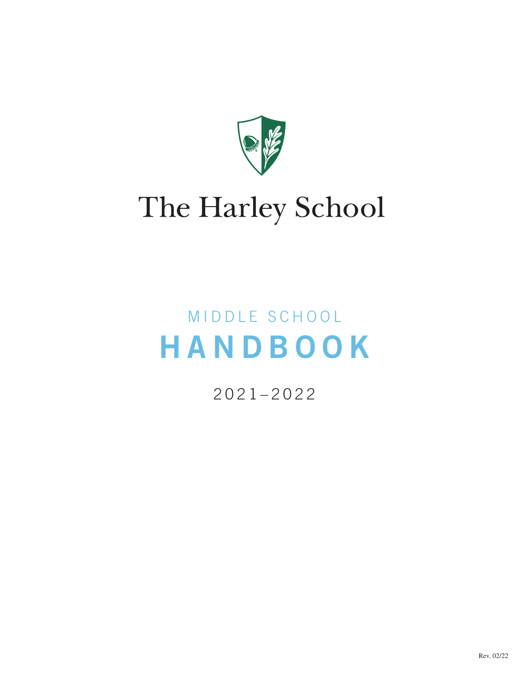

# The Harley School

# MIDDLE SCHOOL HANDBOOK

2021–2022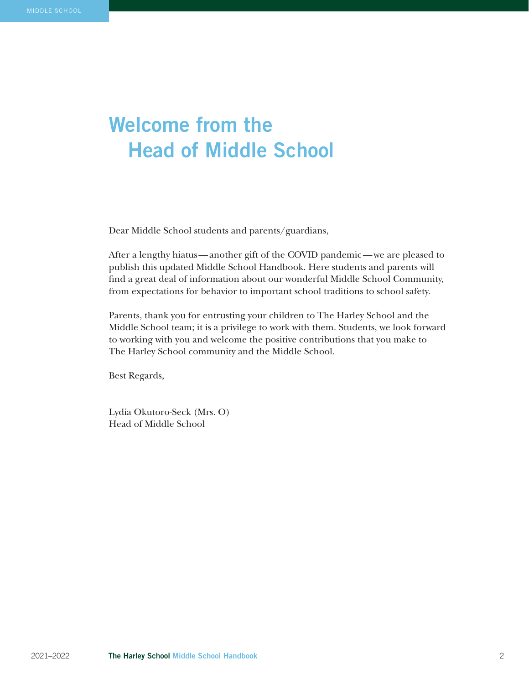# Welcome from the Head of Middle School

Dear Middle School students and parents/guardians,

After a lengthy hiatus—another gift of the COVID pandemic—we are pleased to publish this updated Middle School Handbook. Here students and parents will find a great deal of information about our wonderful Middle School Community, from expectations for behavior to important school traditions to school safety.

Parents, thank you for entrusting your children to The Harley School and the Middle School team; it is a privilege to work with them. Students, we look forward to working with you and welcome the positive contributions that you make to The Harley School community and the Middle School.

Best Regards,

Lydia Okutoro-Seck (Mrs. O) Head of Middle School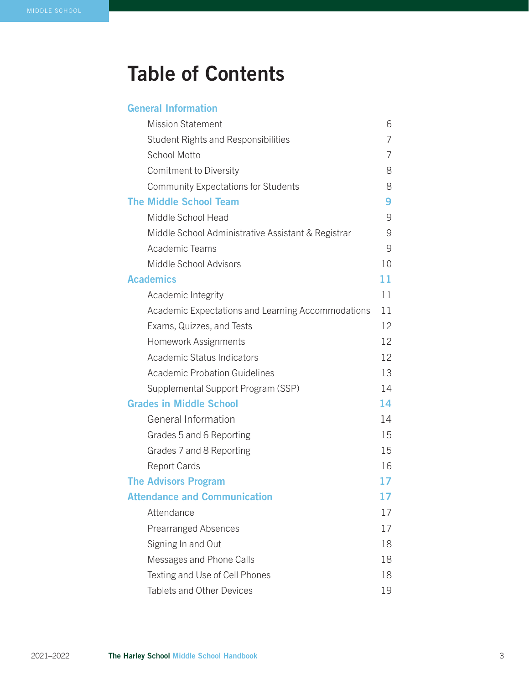# Table of Contents

| <b>General Information</b> |  |
|----------------------------|--|
|                            |  |

| <b>Mission Statement</b>                           | 6  |
|----------------------------------------------------|----|
| <b>Student Rights and Responsibilities</b>         | 7  |
| <b>School Motto</b>                                | 7  |
| Comitment to Diversity                             | 8  |
| <b>Community Expectations for Students</b>         | 8  |
| <b>The Middle School Team</b>                      | 9  |
| Middle School Head                                 | 9  |
| Middle School Administrative Assistant & Registrar | 9  |
| Academic Teams                                     | 9  |
| Middle School Advisors                             | 10 |
| <b>Academics</b>                                   | 11 |
| Academic Integrity                                 | 11 |
| Academic Expectations and Learning Accommodations  | 11 |
| Exams, Quizzes, and Tests                          | 12 |
| Homework Assignments                               | 12 |
| Academic Status Indicators                         | 12 |
| <b>Academic Probation Guidelines</b>               | 13 |
| Supplemental Support Program (SSP)                 | 14 |
| <b>Grades in Middle School</b>                     | 14 |
| General Information                                | 14 |
| Grades 5 and 6 Reporting                           | 15 |
| Grades 7 and 8 Reporting                           | 15 |
| <b>Report Cards</b>                                | 16 |
| <b>The Advisors Program</b>                        | 17 |
| <b>Attendance and Communication</b>                | 17 |
| Attendance                                         | 17 |
| <b>Prearranged Absences</b>                        | 17 |
| Signing In and Out                                 | 18 |
| Messages and Phone Calls                           | 18 |
| Texting and Use of Cell Phones                     | 18 |
| <b>Tablets and Other Devices</b>                   | 19 |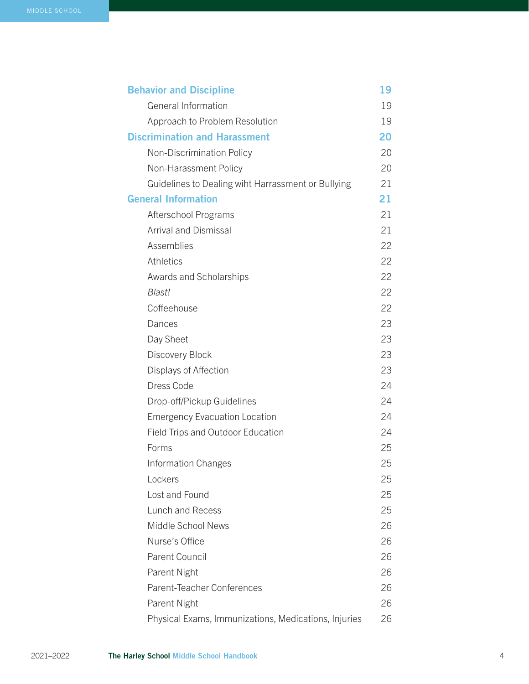| <b>Behavior and Discipline</b>                       | 19 |
|------------------------------------------------------|----|
| <b>General Information</b>                           | 19 |
| Approach to Problem Resolution                       | 19 |
| <b>Discrimination and Harassment</b>                 | 20 |
| Non-Discrimination Policy                            | 20 |
| Non-Harassment Policy                                | 20 |
| Guidelines to Dealing wiht Harrassment or Bullying   | 21 |
| <b>General Information</b>                           | 21 |
| Afterschool Programs                                 | 21 |
| <b>Arrival and Dismissal</b>                         | 21 |
| Assemblies                                           | 22 |
| <b>Athletics</b>                                     | 22 |
| Awards and Scholarships                              | 22 |
| Blast!                                               | 22 |
| Coffeehouse                                          | 22 |
| Dances                                               | 23 |
| Day Sheet                                            | 23 |
| Discovery Block                                      | 23 |
| Displays of Affection                                | 23 |
| Dress Code                                           | 24 |
| Drop-off/Pickup Guidelines                           | 24 |
| <b>Emergency Evacuation Location</b>                 | 24 |
| Field Trips and Outdoor Education                    | 24 |
| Forms                                                | 25 |
| <b>Information Changes</b>                           | 25 |
| Lockers                                              | 25 |
| Lost and Found                                       | 25 |
| Lunch and Recess                                     | 25 |
| Middle School News                                   | 26 |
| Nurse's Office                                       | 26 |
| <b>Parent Council</b>                                | 26 |
| Parent Night                                         | 26 |
| Parent-Teacher Conferences                           | 26 |
| Parent Night                                         | 26 |
| Physical Exams, Immunizations, Medications, Injuries | 26 |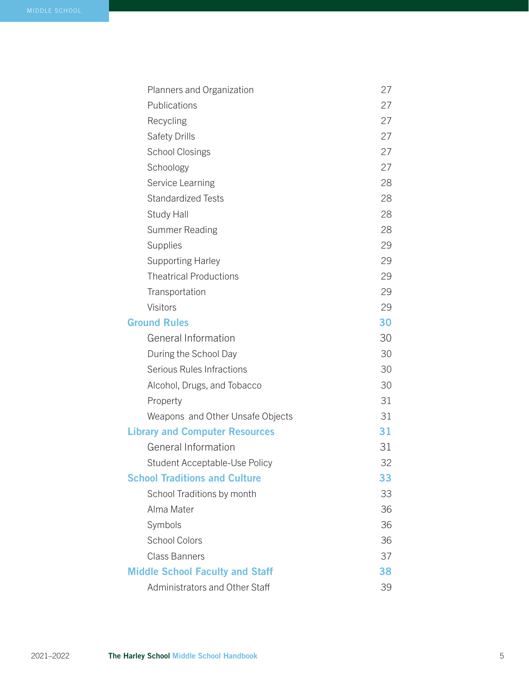| Planners and Organization              | 27 |
|----------------------------------------|----|
| Publications                           | 27 |
| Recycling                              | 27 |
| Safety Drills                          | 27 |
| <b>School Closings</b>                 | 27 |
| Schoology                              | 27 |
| Service Learning                       | 28 |
| <b>Standardized Tests</b>              | 28 |
| Study Hall                             | 28 |
| <b>Summer Reading</b>                  | 28 |
| Supplies                               | 29 |
| <b>Supporting Harley</b>               | 29 |
| <b>Theatrical Productions</b>          | 29 |
| Transportation                         | 29 |
| Visitors                               | 29 |
| <b>Ground Rules</b>                    | 30 |
| General Information                    | 30 |
| During the School Day                  | 30 |
| Serious Rules Infractions              | 30 |
| Alcohol, Drugs, and Tobacco            | 30 |
| Property                               | 31 |
| Weapons and Other Unsafe Objects       | 31 |
| <b>Library and Computer Resources</b>  | 31 |
| <b>General Information</b>             | 31 |
| Student Acceptable-Use Policy          | 32 |
| <b>School Traditions and Culture</b>   | 33 |
| School Traditions by month             | 33 |
| Alma Mater                             | 36 |
| Symbols                                | 36 |
| <b>School Colors</b>                   | 36 |
| <b>Class Banners</b>                   | 37 |
| <b>Middle School Faculty and Staff</b> | 38 |
| Administrators and Other Staff         | 39 |
|                                        |    |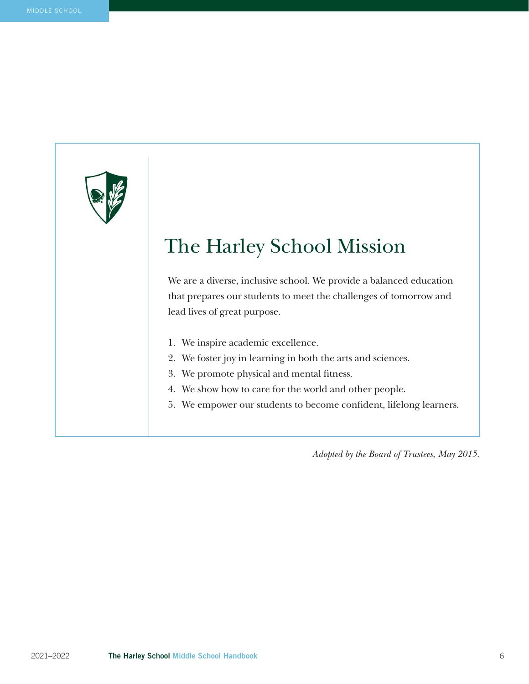# The Harley School Mission

We are a diverse, inclusive school. We provide a balanced education that prepares our students to meet the challenges of tomorrow and lead lives of great purpose.

- 1. We inspire academic excellence.
- 2. We foster joy in learning in both the arts and sciences.
- 3. We promote physical and mental fitness.
- 4. We show how to care for the world and other people.
- 5. We empower our students to become confident, lifelong learners.

*Adopted by the Board of Trustees, May 2015.*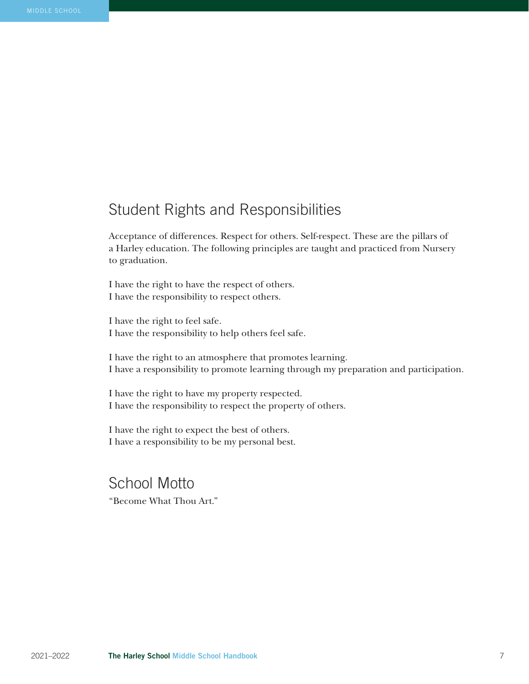# Student Rights and Responsibilities

Acceptance of differences. Respect for others. Self-respect. These are the pillars of a Harley education. The following principles are taught and practiced from Nursery to graduation.

I have the right to have the respect of others. I have the responsibility to respect others.

I have the right to feel safe. I have the responsibility to help others feel safe.

I have the right to an atmosphere that promotes learning. I have a responsibility to promote learning through my preparation and participation.

I have the right to have my property respected. I have the responsibility to respect the property of others.

I have the right to expect the best of others. I have a responsibility to be my personal best.

School Motto "Become What Thou Art."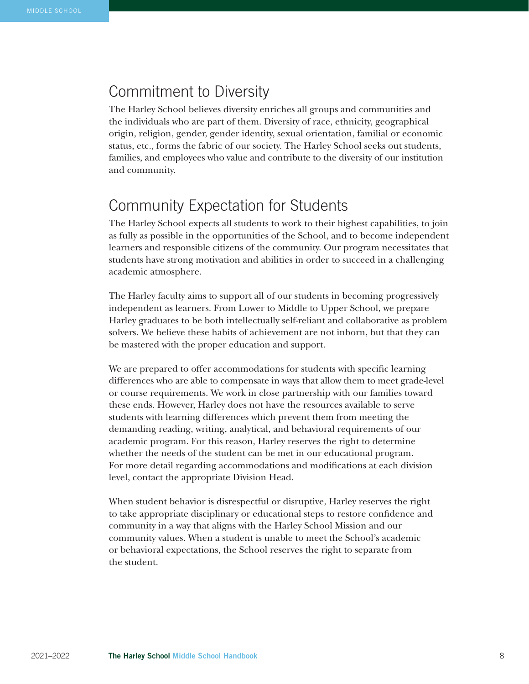## Commitment to Diversity

The Harley School believes diversity enriches all groups and communities and the individuals who are part of them. Diversity of race, ethnicity, geographical origin, religion, gender, gender identity, sexual orientation, familial or economic status, etc., forms the fabric of our society. The Harley School seeks out students, families, and employees who value and contribute to the diversity of our institution and community.

## Community Expectation for Students

The Harley School expects all students to work to their highest capabilities, to join as fully as possible in the opportunities of the School, and to become independent learners and responsible citizens of the community. Our program necessitates that students have strong motivation and abilities in order to succeed in a challenging academic atmosphere.

The Harley faculty aims to support all of our students in becoming progressively independent as learners. From Lower to Middle to Upper School, we prepare Harley graduates to be both intellectually self-reliant and collaborative as problem solvers. We believe these habits of achievement are not inborn, but that they can be mastered with the proper education and support.

We are prepared to offer accommodations for students with specific learning differences who are able to compensate in ways that allow them to meet grade-level or course requirements. We work in close partnership with our families toward these ends. However, Harley does not have the resources available to serve students with learning differences which prevent them from meeting the demanding reading, writing, analytical, and behavioral requirements of our academic program. For this reason, Harley reserves the right to determine whether the needs of the student can be met in our educational program. For more detail regarding accommodations and modifications at each division level, contact the appropriate Division Head.

When student behavior is disrespectful or disruptive, Harley reserves the right to take appropriate disciplinary or educational steps to restore confidence and community in a way that aligns with the Harley School Mission and our community values. When a student is unable to meet the School's academic or behavioral expectations, the School reserves the right to separate from the student.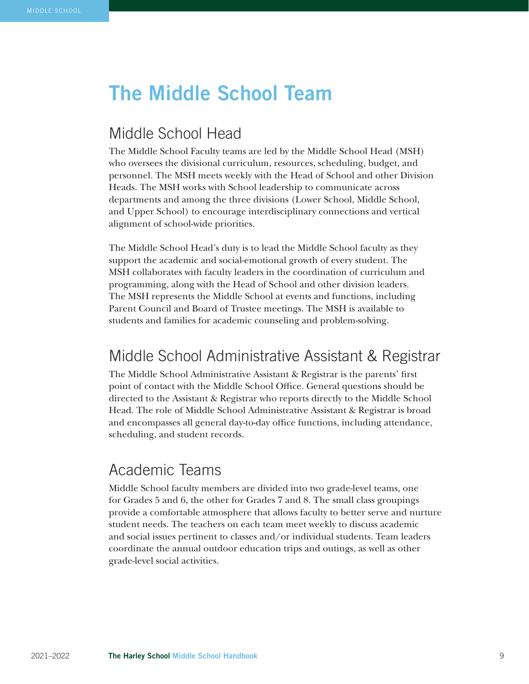# The Middle School Team

## Middle School Head

The Middle School Faculty teams are led by the Middle School Head (MSH) who oversees the divisional curriculum, resources, scheduling, budget, and personnel. The MSH meets weekly with the Head of School and other Division Heads. The MSH works with School leadership to communicate across departments and among the three divisions (Lower School, Middle School, and Upper School) to encourage interdisciplinary connections and vertical alignment of school-wide priorities.

The Middle School Head's duty is to lead the Middle School faculty as they support the academic and social-emotional growth of every student. The MSH collaborates with faculty leaders in the coordination of curriculum and programming, along with the Head of School and other division leaders. The MSH represents the Middle School at events and functions, including Parent Council and Board of Trustee meetings. The MSH is available to students and families for academic counseling and problem-solving.

## Middle School Administrative Assistant & Registrar

The Middle School Administrative Assistant & Registrar is the parents' first point of contact with the Middle School Office. General questions should be directed to the Assistant & Registrar who reports directly to the Middle School Head. The role of Middle School Administrative Assistant & Registrar is broad and encompasses all general day-to-day office functions, including attendance, scheduling, and student records.

### Academic Teams

Middle School faculty members are divided into two grade-level teams, one for Grades 5 and 6, the other for Grades 7 and 8. The small class groupings provide a comfortable atmosphere that allows faculty to better serve and nurture student needs. The teachers on each team meet weekly to discuss academic and social issues pertinent to classes and/or individual students. Team leaders coordinate the annual outdoor education trips and outings, as well as other grade-level social activities.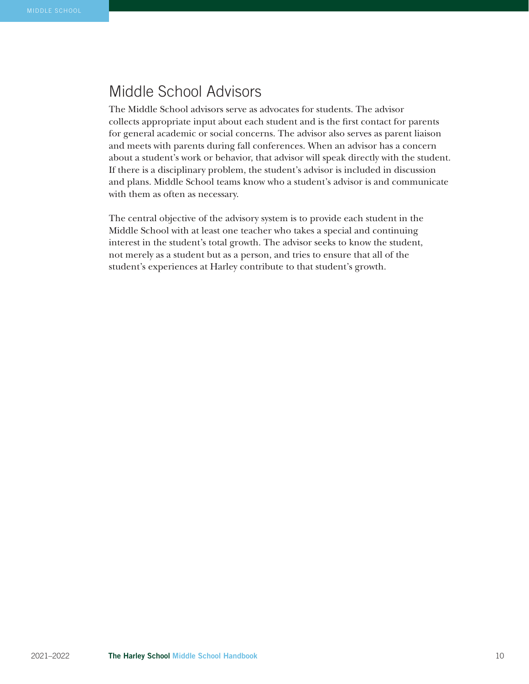# Middle School Advisors

The Middle School advisors serve as advocates for students. The advisor collects appropriate input about each student and is the first contact for parents for general academic or social concerns. The advisor also serves as parent liaison and meets with parents during fall conferences. When an advisor has a concern about a student's work or behavior, that advisor will speak directly with the student. If there is a disciplinary problem, the student's advisor is included in discussion and plans. Middle School teams know who a student's advisor is and communicate with them as often as necessary.

The central objective of the advisory system is to provide each student in the Middle School with at least one teacher who takes a special and continuing interest in the student's total growth. The advisor seeks to know the student, not merely as a student but as a person, and tries to ensure that all of the student's experiences at Harley contribute to that student's growth.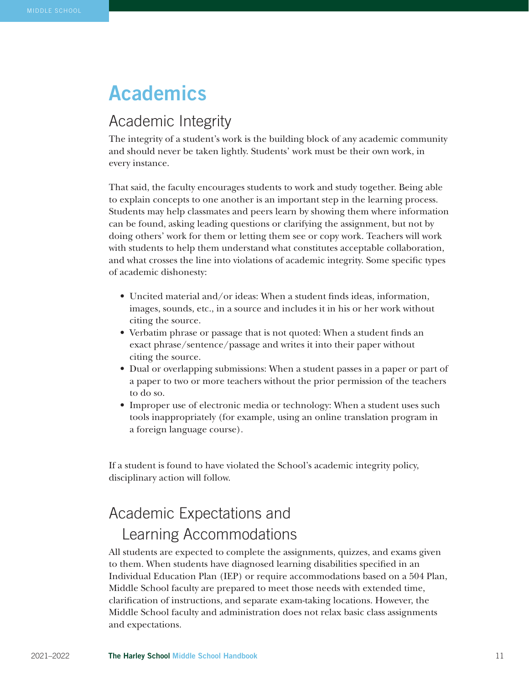# Academics

## Academic Integrity

The integrity of a student's work is the building block of any academic community and should never be taken lightly. Students' work must be their own work, in every instance.

That said, the faculty encourages students to work and study together. Being able to explain concepts to one another is an important step in the learning process. Students may help classmates and peers learn by showing them where information can be found, asking leading questions or clarifying the assignment, but not by doing others' work for them or letting them see or copy work. Teachers will work with students to help them understand what constitutes acceptable collaboration, and what crosses the line into violations of academic integrity. Some specific types of academic dishonesty:

- Uncited material and/or ideas: When a student finds ideas, information, images, sounds, etc., in a source and includes it in his or her work without citing the source.
- Verbatim phrase or passage that is not quoted: When a student finds an exact phrase/sentence/passage and writes it into their paper without citing the source.
- Dual or overlapping submissions: When a student passes in a paper or part of a paper to two or more teachers without the prior permission of the teachers to do so.
- Improper use of electronic media or technology: When a student uses such tools inappropriately (for example, using an online translation program in a foreign language course).

If a student is found to have violated the School's academic integrity policy, disciplinary action will follow.

# Academic Expectations and Learning Accommodations

All students are expected to complete the assignments, quizzes, and exams given to them. When students have diagnosed learning disabilities specified in an Individual Education Plan (IEP) or require accommodations based on a 504 Plan, Middle School faculty are prepared to meet those needs with extended time, clarification of instructions, and separate exam-taking locations. However, the Middle School faculty and administration does not relax basic class assignments and expectations.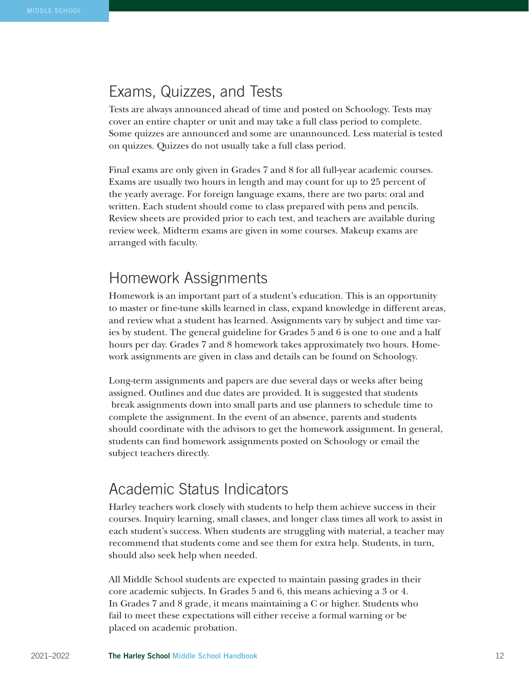### Exams, Quizzes, and Tests

Tests are always announced ahead of time and posted on Schoology. Tests may cover an entire chapter or unit and may take a full class period to complete. Some quizzes are announced and some are unannounced. Less material is tested on quizzes. Quizzes do not usually take a full class period.

Final exams are only given in Grades 7 and 8 for all full-year academic courses. Exams are usually two hours in length and may count for up to 25 percent of the yearly average. For foreign language exams, there are two parts: oral and written. Each student should come to class prepared with pens and pencils. Review sheets are provided prior to each test, and teachers are available during review week. Midterm exams are given in some courses. Makeup exams are arranged with faculty.

#### Homework Assignments

Homework is an important part of a student's education. This is an opportunity to master or fine-tune skills learned in class, expand knowledge in different areas, and review what a student has learned. Assignments vary by subject and time varies by student. The general guideline for Grades 5 and 6 is one to one and a half hours per day. Grades 7 and 8 homework takes approximately two hours. Homework assignments are given in class and details can be found on Schoology.

Long-term assignments and papers are due several days or weeks after being assigned. Outlines and due dates are provided. It is suggested that students break assignments down into small parts and use planners to schedule time to complete the assignment. In the event of an absence, parents and students should coordinate with the advisors to get the homework assignment. In general, students can find homework assignments posted on Schoology or email the subject teachers directly.

### Academic Status Indicators

Harley teachers work closely with students to help them achieve success in their courses. Inquiry learning, small classes, and longer class times all work to assist in each student's success. When students are struggling with material, a teacher may recommend that students come and see them for extra help. Students, in turn, should also seek help when needed.

All Middle School students are expected to maintain passing grades in their core academic subjects. In Grades 5 and 6, this means achieving a 3 or 4. In Grades 7 and 8 grade, it means maintaining a C or higher. Students who fail to meet these expectations will either receive a formal warning or be placed on academic probation.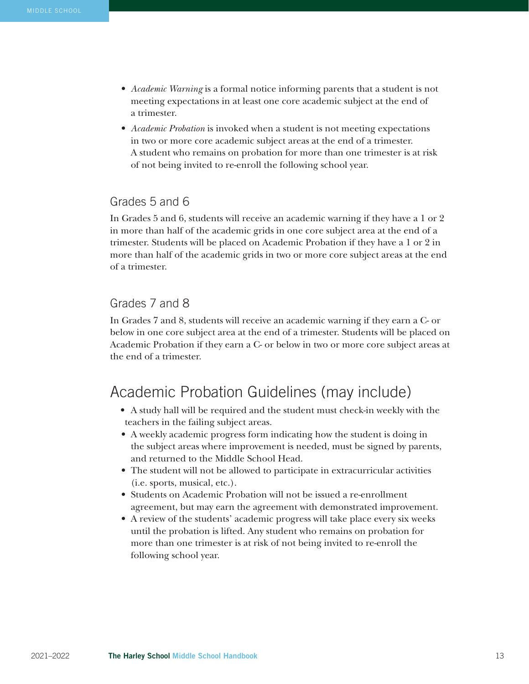- *Academic Warning* is a formal notice informing parents that a student is not meeting expectations in at least one core academic subject at the end of a trimester.
- *Academic Probation* is invoked when a student is not meeting expectations in two or more core academic subject areas at the end of a trimester. A student who remains on probation for more than one trimester is at risk of not being invited to re-enroll the following school year.

#### Grades 5 and 6

In Grades 5 and 6, students will receive an academic warning if they have a 1 or 2 in more than half of the academic grids in one core subject area at the end of a trimester. Students will be placed on Academic Probation if they have a 1 or 2 in more than half of the academic grids in two or more core subject areas at the end of a trimester.

#### Grades 7 and 8

In Grades 7 and 8, students will receive an academic warning if they earn a C- or below in one core subject area at the end of a trimester. Students will be placed on Academic Probation if they earn a C- or below in two or more core subject areas at the end of a trimester.

## Academic Probation Guidelines (may include)

- A study hall will be required and the student must check-in weekly with the teachers in the failing subject areas.
- A weekly academic progress form indicating how the student is doing in the subject areas where improvement is needed, must be signed by parents, and returned to the Middle School Head.
- The student will not be allowed to participate in extracurricular activities (i.e. sports, musical, etc.).
- Students on Academic Probation will not be issued a re-enrollment agreement, but may earn the agreement with demonstrated improvement.
- A review of the students' academic progress will take place every six weeks until the probation is lifted. Any student who remains on probation for more than one trimester is at risk of not being invited to re-enroll the following school year.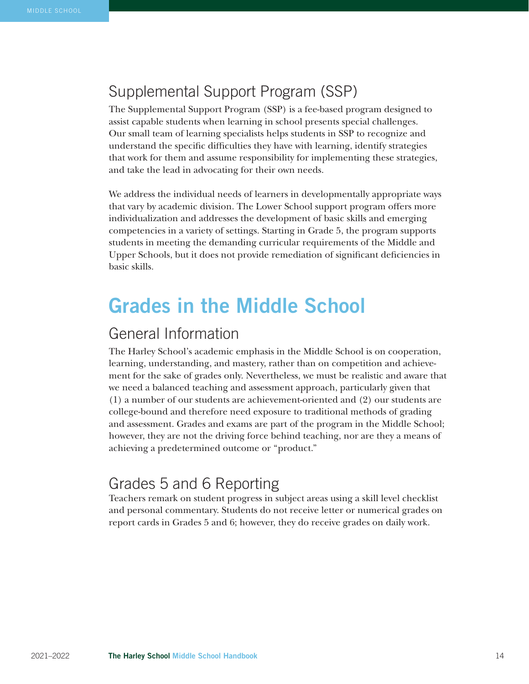# Supplemental Support Program (SSP)

The Supplemental Support Program (SSP) is a fee-based program designed to assist capable students when learning in school presents special challenges. Our small team of learning specialists helps students in SSP to recognize and understand the specific difficulties they have with learning, identify strategies that work for them and assume responsibility for implementing these strategies, and take the lead in advocating for their own needs.

We address the individual needs of learners in developmentally appropriate ways that vary by academic division. The Lower School support program offers more individualization and addresses the development of basic skills and emerging competencies in a variety of settings. Starting in Grade 5, the program supports students in meeting the demanding curricular requirements of the Middle and Upper Schools, but it does not provide remediation of significant deficiencies in basic skills.

# Grades in the Middle School

### General Information

The Harley School's academic emphasis in the Middle School is on cooperation, learning, understanding, and mastery, rather than on competition and achievement for the sake of grades only. Nevertheless, we must be realistic and aware that we need a balanced teaching and assessment approach, particularly given that (1) a number of our students are achievement-oriented and (2) our students are college-bound and therefore need exposure to traditional methods of grading and assessment. Grades and exams are part of the program in the Middle School; however, they are not the driving force behind teaching, nor are they a means of achieving a predetermined outcome or "product."

## Grades 5 and 6 Reporting

Teachers remark on student progress in subject areas using a skill level checklist and personal commentary. Students do not receive letter or numerical grades on report cards in Grades 5 and 6; however, they do receive grades on daily work.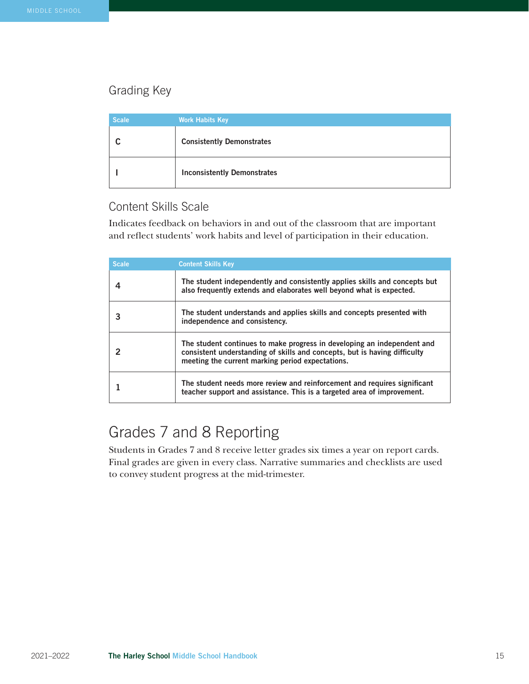#### Grading Key

| <b>Scale</b> | <b>Work Habits Key</b>             |
|--------------|------------------------------------|
|              | <b>Consistently Demonstrates</b>   |
|              | <b>Inconsistently Demonstrates</b> |

#### Content Skills Scale

Indicates feedback on behaviors in and out of the classroom that are important and reflect students' work habits and level of participation in their education.

| <b>Scale</b> | <b>Content Skills Key</b>                                                                                                                                                                                |
|--------------|----------------------------------------------------------------------------------------------------------------------------------------------------------------------------------------------------------|
|              | The student independently and consistently applies skills and concepts but<br>also frequently extends and elaborates well beyond what is expected.                                                       |
|              | The student understands and applies skills and concepts presented with<br>independence and consistency.                                                                                                  |
|              | The student continues to make progress in developing an independent and<br>consistent understanding of skills and concepts, but is having difficulty<br>meeting the current marking period expectations. |
|              | The student needs more review and reinforcement and requires significant<br>teacher support and assistance. This is a targeted area of improvement.                                                      |

# Grades 7 and 8 Reporting

Students in Grades 7 and 8 receive letter grades six times a year on report cards. Final grades are given in every class. Narrative summaries and checklists are used to convey student progress at the mid-trimester.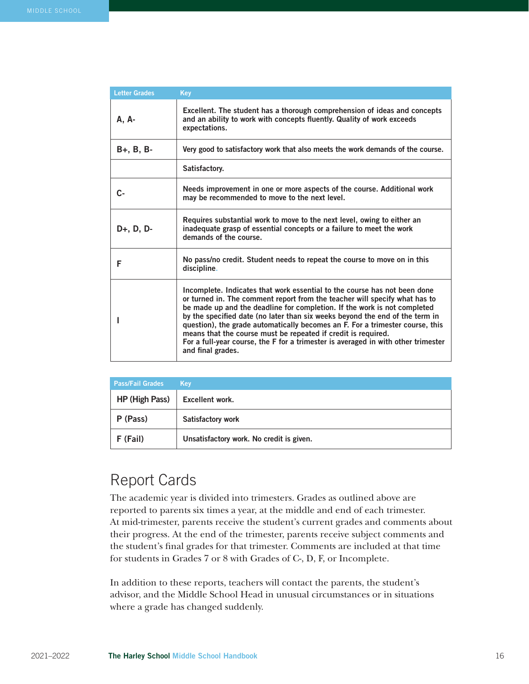| <b>Letter Grades</b> | Key                                                                                                                                                                                                                                                                                                                                                                                                                                                                                                                                                                             |
|----------------------|---------------------------------------------------------------------------------------------------------------------------------------------------------------------------------------------------------------------------------------------------------------------------------------------------------------------------------------------------------------------------------------------------------------------------------------------------------------------------------------------------------------------------------------------------------------------------------|
| A, A-                | Excellent. The student has a thorough comprehension of ideas and concepts<br>and an ability to work with concepts fluently. Quality of work exceeds<br>expectations.                                                                                                                                                                                                                                                                                                                                                                                                            |
| $B+, B, B-$          | Very good to satisfactory work that also meets the work demands of the course.                                                                                                                                                                                                                                                                                                                                                                                                                                                                                                  |
|                      | Satisfactory.                                                                                                                                                                                                                                                                                                                                                                                                                                                                                                                                                                   |
| C-                   | Needs improvement in one or more aspects of the course. Additional work<br>may be recommended to move to the next level.                                                                                                                                                                                                                                                                                                                                                                                                                                                        |
| $D+, D, D-$          | Requires substantial work to move to the next level, owing to either an<br>inadequate grasp of essential concepts or a failure to meet the work<br>demands of the course.                                                                                                                                                                                                                                                                                                                                                                                                       |
| F                    | No pass/no credit. Student needs to repeat the course to move on in this<br>discipline.                                                                                                                                                                                                                                                                                                                                                                                                                                                                                         |
|                      | Incomplete. Indicates that work essential to the course has not been done<br>or turned in. The comment report from the teacher will specify what has to<br>be made up and the deadline for completion. If the work is not completed<br>by the specified date (no later than six weeks beyond the end of the term in<br>question), the grade automatically becomes an F. For a trimester course, this<br>means that the course must be repeated if credit is required.<br>For a full-year course, the F for a trimester is averaged in with other trimester<br>and final grades. |

| <b>Pass/Fail Grades</b> | Kev                                      |
|-------------------------|------------------------------------------|
| HP (High Pass)          | Excellent work.                          |
| P (Pass)                | Satisfactory work                        |
| F (Fail)                | Unsatisfactory work. No credit is given. |

## Report Cards

The academic year is divided into trimesters. Grades as outlined above are reported to parents six times a year, at the middle and end of each trimester. At mid-trimester, parents receive the student's current grades and comments about their progress. At the end of the trimester, parents receive subject comments and the student's final grades for that trimester. Comments are included at that time for students in Grades 7 or 8 with Grades of C-, D, F, or Incomplete.

In addition to these reports, teachers will contact the parents, the student's advisor, and the Middle School Head in unusual circumstances or in situations where a grade has changed suddenly.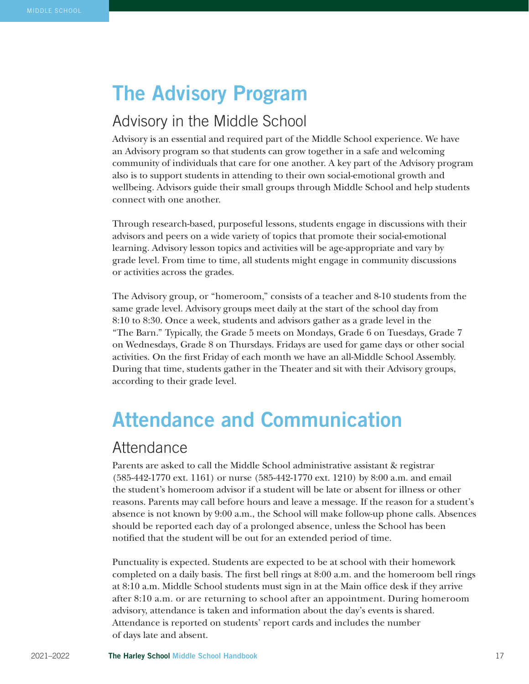# The Advisory Program

# Advisory in the Middle School

Advisory is an essential and required part of the Middle School experience. We have an Advisory program so that students can grow together in a safe and welcoming community of individuals that care for one another. A key part of the Advisory program also is to support students in attending to their own social-emotional growth and wellbeing. Advisors guide their small groups through Middle School and help students connect with one another.

Through research-based, purposeful lessons, students engage in discussions with their advisors and peers on a wide variety of topics that promote their social-emotional learning. Advisory lesson topics and activities will be age-appropriate and vary by grade level. From time to time, all students might engage in community discussions or activities across the grades.

The Advisory group, or "homeroom," consists of a teacher and 8-10 students from the same grade level. Advisory groups meet daily at the start of the school day from 8:10 to 8:30. Once a week, students and advisors gather as a grade level in the "The Barn." Typically, the Grade 5 meets on Mondays, Grade 6 on Tuesdays, Grade 7 on Wednesdays, Grade 8 on Thursdays. Fridays are used for game days or other social activities. On the first Friday of each month we have an all-Middle School Assembly. During that time, students gather in the Theater and sit with their Advisory groups, according to their grade level.

# Attendance and Communication

#### **Attendance**

Parents are asked to call the Middle School administrative assistant & registrar (585-442-1770 ext. 1161) or nurse (585-442-1770 ext. 1210) by 8:00 a.m. and email the student's homeroom advisor if a student will be late or absent for illness or other reasons. Parents may call before hours and leave a message. If the reason for a student's absence is not known by 9:00 a.m., the School will make follow-up phone calls. Absences should be reported each day of a prolonged absence, unless the School has been notified that the student will be out for an extended period of time.

Punctuality is expected. Students are expected to be at school with their homework completed on a daily basis. The first bell rings at 8:00 a.m. and the homeroom bell rings at 8:10 a.m. Middle School students must sign in at the Main office desk if they arrive after 8:10 a.m. or are returning to school after an appointment. During homeroom advisory, attendance is taken and information about the day's events is shared. Attendance is reported on students' report cards and includes the number of days late and absent.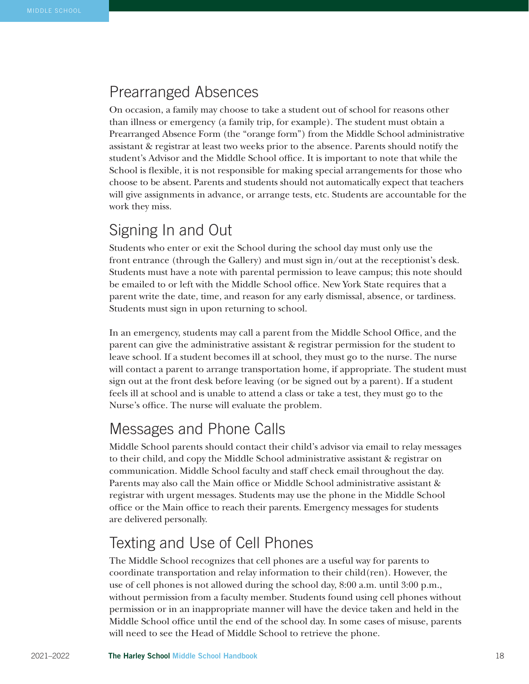### Prearranged Absences

On occasion, a family may choose to take a student out of school for reasons other than illness or emergency (a family trip, for example). The student must obtain a Prearranged Absence Form (the "orange form") from the Middle School administrative assistant & registrar at least two weeks prior to the absence. Parents should notify the student's Advisor and the Middle School office. It is important to note that while the School is flexible, it is not responsible for making special arrangements for those who choose to be absent. Parents and students should not automatically expect that teachers will give assignments in advance, or arrange tests, etc. Students are accountable for the work they miss.

## Signing In and Out

Students who enter or exit the School during the school day must only use the front entrance (through the Gallery) and must sign in/out at the receptionist's desk. Students must have a note with parental permission to leave campus; this note should be emailed to or left with the Middle School office. New York State requires that a parent write the date, time, and reason for any early dismissal, absence, or tardiness. Students must sign in upon returning to school.

In an emergency, students may call a parent from the Middle School Office, and the parent can give the administrative assistant & registrar permission for the student to leave school. If a student becomes ill at school, they must go to the nurse. The nurse will contact a parent to arrange transportation home, if appropriate. The student must sign out at the front desk before leaving (or be signed out by a parent). If a student feels ill at school and is unable to attend a class or take a test, they must go to the Nurse's office. The nurse will evaluate the problem.

### Messages and Phone Calls

Middle School parents should contact their child's advisor via email to relay messages to their child, and copy the Middle School administrative assistant & registrar on communication. Middle School faculty and staff check email throughout the day. Parents may also call the Main office or Middle School administrative assistant & registrar with urgent messages. Students may use the phone in the Middle School office or the Main office to reach their parents. Emergency messages for students are delivered personally.

# Texting and Use of Cell Phones

The Middle School recognizes that cell phones are a useful way for parents to coordinate transportation and relay information to their child(ren). However, the use of cell phones is not allowed during the school day, 8:00 a.m. until 3:00 p.m., without permission from a faculty member. Students found using cell phones without permission or in an inappropriate manner will have the device taken and held in the Middle School office until the end of the school day. In some cases of misuse, parents will need to see the Head of Middle School to retrieve the phone.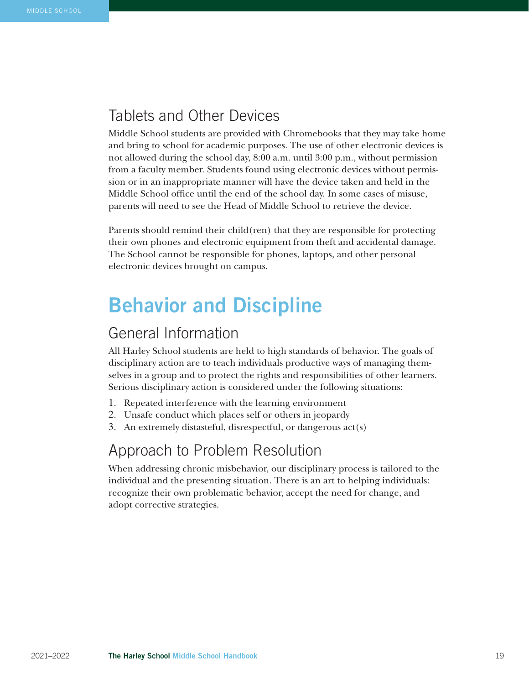### Tablets and Other Devices

Middle School students are provided with Chromebooks that they may take home and bring to school for academic purposes. The use of other electronic devices is not allowed during the school day, 8:00 a.m. until 3:00 p.m., without permission from a faculty member. Students found using electronic devices without permission or in an inappropriate manner will have the device taken and held in the Middle School office until the end of the school day. In some cases of misuse, parents will need to see the Head of Middle School to retrieve the device.

Parents should remind their child(ren) that they are responsible for protecting their own phones and electronic equipment from theft and accidental damage. The School cannot be responsible for phones, laptops, and other personal electronic devices brought on campus.

# Behavior and Discipline

### General Information

All Harley School students are held to high standards of behavior. The goals of disciplinary action are to teach individuals productive ways of managing themselves in a group and to protect the rights and responsibilities of other learners. Serious disciplinary action is considered under the following situations:

- 1. Repeated interference with the learning environment
- 2. Unsafe conduct which places self or others in jeopardy
- 3. An extremely distasteful, disrespectful, or dangerous act(s)

## Approach to Problem Resolution

When addressing chronic misbehavior, our disciplinary process is tailored to the individual and the presenting situation. There is an art to helping individuals: recognize their own problematic behavior, accept the need for change, and adopt corrective strategies.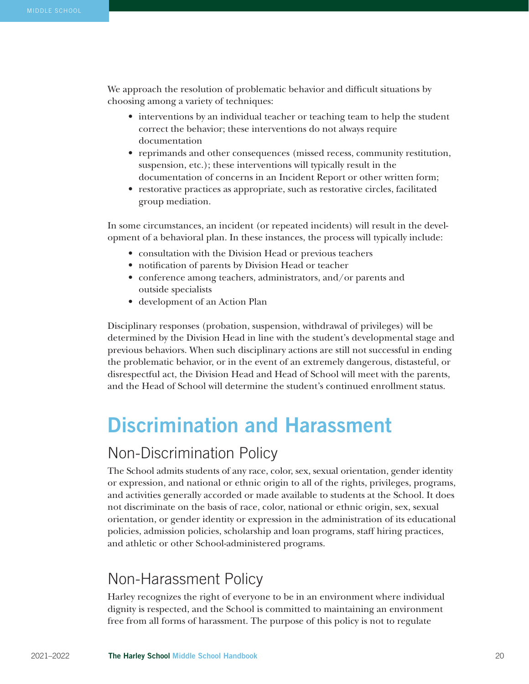We approach the resolution of problematic behavior and difficult situations by choosing among a variety of techniques:

- interventions by an individual teacher or teaching team to help the student correct the behavior; these interventions do not always require documentation
- reprimands and other consequences (missed recess, community restitution, suspension, etc.); these interventions will typically result in the documentation of concerns in an Incident Report or other written form;
- restorative practices as appropriate, such as restorative circles, facilitated group mediation.

In some circumstances, an incident (or repeated incidents) will result in the development of a behavioral plan. In these instances, the process will typically include:

- consultation with the Division Head or previous teachers
- notification of parents by Division Head or teacher
- conference among teachers, administrators, and/or parents and outside specialists
- development of an Action Plan

Disciplinary responses (probation, suspension, withdrawal of privileges) will be determined by the Division Head in line with the student's developmental stage and previous behaviors. When such disciplinary actions are still not successful in ending the problematic behavior, or in the event of an extremely dangerous, distasteful, or disrespectful act, the Division Head and Head of School will meet with the parents, and the Head of School will determine the student's continued enrollment status.

# Discrimination and Harassment

## Non-Discrimination Policy

The School admits students of any race, color, sex, sexual orientation, gender identity or expression, and national or ethnic origin to all of the rights, privileges, programs, and activities generally accorded or made available to students at the School. It does not discriminate on the basis of race, color, national or ethnic origin, sex, sexual orientation, or gender identity or expression in the administration of its educational policies, admission policies, scholarship and loan programs, staff hiring practices, and athletic or other School-administered programs.

# Non-Harassment Policy

Harley recognizes the right of everyone to be in an environment where individual dignity is respected, and the School is committed to maintaining an environment free from all forms of harassment. The purpose of this policy is not to regulate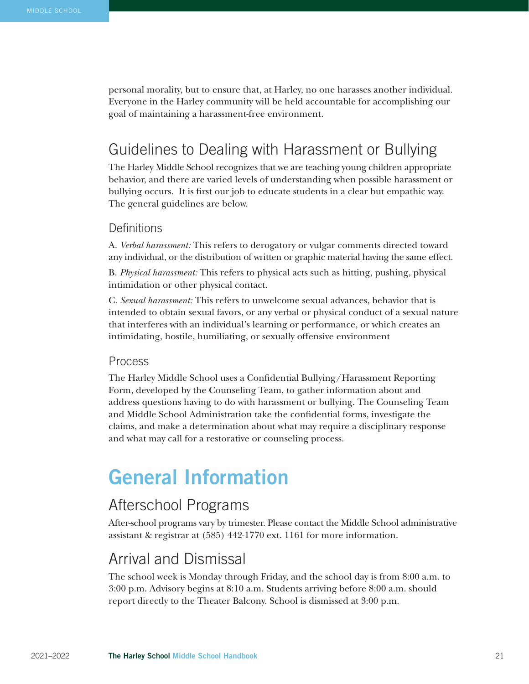personal morality, but to ensure that, at Harley, no one harasses another individual. Everyone in the Harley community will be held accountable for accomplishing our goal of maintaining a harassment-free environment.

## Guidelines to Dealing with Harassment or Bullying

The Harley Middle School recognizes that we are teaching young children appropriate behavior, and there are varied levels of understanding when possible harassment or bullying occurs. It is first our job to educate students in a clear but empathic way. The general guidelines are below.

#### **Definitions**

A. *Verbal harassment:* This refers to derogatory or vulgar comments directed toward any individual, or the distribution of written or graphic material having the same effect.

B. *Physical harassment:* This refers to physical acts such as hitting, pushing, physical intimidation or other physical contact.

C. *Sexual harassment:* This refers to unwelcome sexual advances, behavior that is intended to obtain sexual favors, or any verbal or physical conduct of a sexual nature that interferes with an individual's learning or performance, or which creates an intimidating, hostile, humiliating, or sexually offensive environment

#### Process

The Harley Middle School uses a Confidential Bullying/Harassment Reporting Form, developed by the Counseling Team, to gather information about and address questions having to do with harassment or bullying. The Counseling Team and Middle School Administration take the confidential forms, investigate the claims, and make a determination about what may require a disciplinary response and what may call for a restorative or counseling process.

# General Information

#### Afterschool Programs

After-school programs vary by trimester. Please contact the Middle School administrative assistant & registrar at (585) 442-1770 ext. 1161 for more information.

#### Arrival and Dismissal

The school week is Monday through Friday, and the school day is from 8:00 a.m. to 3:00 p.m. Advisory begins at 8:10 a.m. Students arriving before 8:00 a.m. should report directly to the Theater Balcony. School is dismissed at 3:00 p.m.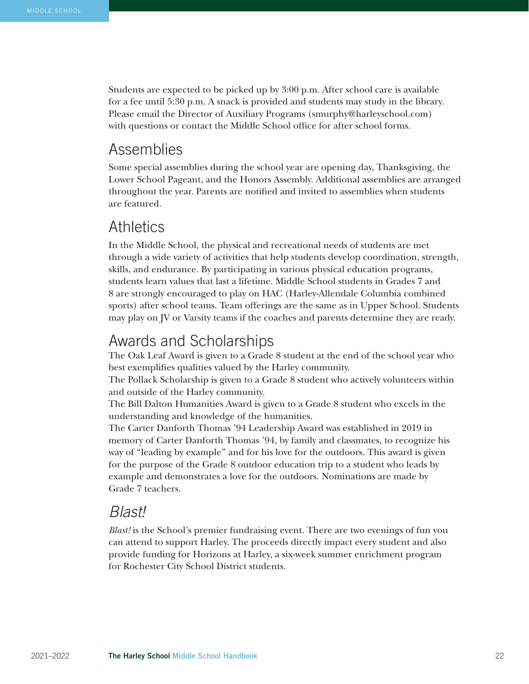Students are expected to be picked up by 3:00 p.m. After school care is available for a fee until 5:30 p.m. A snack is provided and students may study in the library. Please email the Director of Auxiliary Programs (smurphy@harleyschool.com) with questions or contact the Middle School office for after school forms.

#### Assemblies

Some special assemblies during the school year are opening day, Thanksgiving, the Lower School Pageant, and the Honors Assembly. Additional assemblies are arranged throughout the year. Parents are notified and invited to assemblies when students are featured.

#### **Athletics**

In the Middle School, the physical and recreational needs of students are met through a wide variety of activities that help students develop coordination, strength, skills, and endurance. By participating in various physical education programs, students learn values that last a lifetime. Middle School students in Grades 7 and 8 are strongly encouraged to play on HAC (Harley-Allendale Columbia combined sports) after school teams. Team offerings are the same as in Upper School. Students may play on JV or Varsity teams if the coaches and parents determine they are ready.

#### Awards and Scholarships

The Oak Leaf Award is given to a Grade 8 student at the end of the school year who best exemplifies qualities valued by the Harley community.

The Pollack Scholarship is given to a Grade 8 student who actively volunteers within and outside of the Harley community.

The Bill Dalton Humanities Award is given to a Grade 8 student who excels in the understanding and knowledge of the humanities.

The Carter Danforth Thomas '94 Leadership Award was established in 2019 in memory of Carter Danforth Thomas '94, by family and classmates, to recognize his way of "leading by example" and for his love for the outdoors. This award is given for the purpose of the Grade 8 outdoor education trip to a student who leads by example and demonstrates a love for the outdoors. Nominations are made by Grade 7 teachers.

#### *Blast!*

*Blast!* is the School's premier fundraising event. There are two evenings of fun you can attend to support Harley. The proceeds directly impact every student and also provide funding for Horizons at Harley, a six-week summer enrichment program for Rochester City School District students.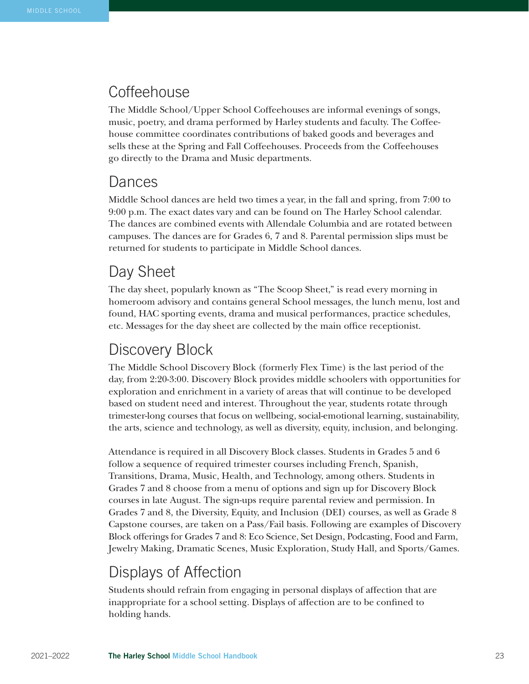#### **Coffeehouse**

The Middle School/Upper School Coffeehouses are informal evenings of songs, music, poetry, and drama performed by Harley students and faculty. The Coffeehouse committee coordinates contributions of baked goods and beverages and sells these at the Spring and Fall Coffeehouses. Proceeds from the Coffeehouses go directly to the Drama and Music departments.

### Dances

Middle School dances are held two times a year, in the fall and spring, from 7:00 to 9:00 p.m. The exact dates vary and can be found on The Harley School calendar. The dances are combined events with Allendale Columbia and are rotated between campuses. The dances are for Grades 6, 7 and 8. Parental permission slips must be returned for students to participate in Middle School dances.

## Day Sheet

The day sheet, popularly known as "The Scoop Sheet," is read every morning in homeroom advisory and contains general School messages, the lunch menu, lost and found, HAC sporting events, drama and musical performances, practice schedules, etc. Messages for the day sheet are collected by the main office receptionist.

# Discovery Block

The Middle School Discovery Block (formerly Flex Time) is the last period of the day, from 2:20-3:00. Discovery Block provides middle schoolers with opportunities for exploration and enrichment in a variety of areas that will continue to be developed based on student need and interest. Throughout the year, students rotate through trimester-long courses that focus on wellbeing, social-emotional learning, sustainability, the arts, science and technology, as well as diversity, equity, inclusion, and belonging.

Attendance is required in all Discovery Block classes. Students in Grades 5 and 6 follow a sequence of required trimester courses including French, Spanish, Transitions, Drama, Music, Health, and Technology, among others. Students in Grades 7 and 8 choose from a menu of options and sign up for Discovery Block courses in late August. The sign-ups require parental review and permission. In Grades 7 and 8, the Diversity, Equity, and Inclusion (DEI) courses, as well as Grade 8 Capstone courses, are taken on a Pass/Fail basis. Following are examples of Discovery Block offerings for Grades 7 and 8: Eco Science, Set Design, Podcasting, Food and Farm, Jewelry Making, Dramatic Scenes, Music Exploration, Study Hall, and Sports/Games.

# Displays of Affection

Students should refrain from engaging in personal displays of affection that are inappropriate for a school setting. Displays of affection are to be confined to holding hands.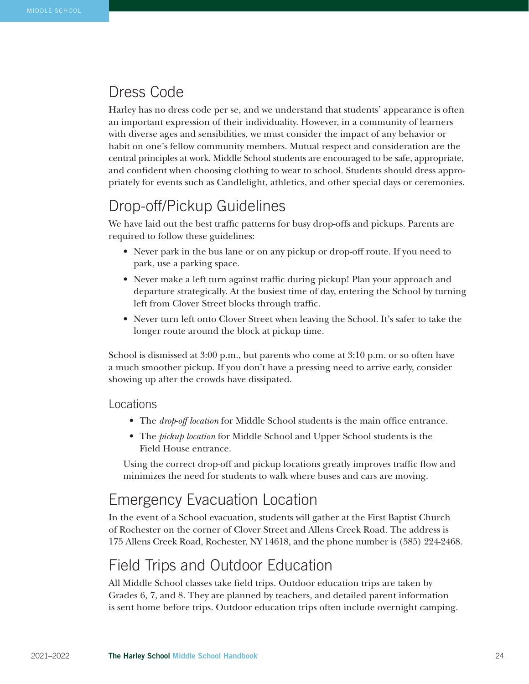## Dress Code

Harley has no dress code per se, and we understand that students' appearance is often an important expression of their individuality. However, in a community of learners with diverse ages and sensibilities, we must consider the impact of any behavior or habit on one's fellow community members. Mutual respect and consideration are the central principles at work. Middle School students are encouraged to be safe, appropriate, and confident when choosing clothing to wear to school. Students should dress appropriately for events such as Candlelight, athletics, and other special days or ceremonies.

# Drop-off/Pickup Guidelines

We have laid out the best traffic patterns for busy drop-offs and pickups. Parents are required to follow these guidelines:

- Never park in the bus lane or on any pickup or drop-off route. If you need to park, use a parking space.
- Never make a left turn against traffic during pickup! Plan your approach and departure strategically. At the busiest time of day, entering the School by turning left from Clover Street blocks through traffic.
- Never turn left onto Clover Street when leaving the School. It's safer to take the longer route around the block at pickup time.

School is dismissed at 3:00 p.m., but parents who come at 3:10 p.m. or so often have a much smoother pickup. If you don't have a pressing need to arrive early, consider showing up after the crowds have dissipated.

#### Locations

- The *drop-off location* for Middle School students is the main office entrance.
- The *pickup location* for Middle School and Upper School students is the Field House entrance.

Using the correct drop-off and pickup locations greatly improves traffic flow and minimizes the need for students to walk where buses and cars are moving.

# Emergency Evacuation Location

In the event of a School evacuation, students will gather at the First Baptist Church of Rochester on the corner of Clover Street and Allens Creek Road. The address is 175 Allens Creek Road, Rochester, NY 14618, and the phone number is (585) 224-2468.

# Field Trips and Outdoor Education

All Middle School classes take field trips. Outdoor education trips are taken by Grades 6, 7, and 8. They are planned by teachers, and detailed parent information is sent home before trips. Outdoor education trips often include overnight camping.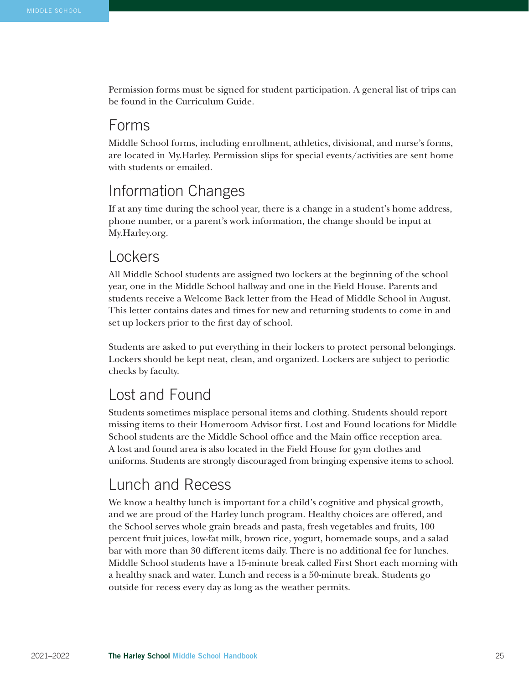Permission forms must be signed for student participation. A general list of trips can be found in the Curriculum Guide.

## Forms

Middle School forms, including enrollment, athletics, divisional, and nurse's forms, are located in My.Harley. Permission slips for special events/activities are sent home with students or emailed.

# Information Changes

If at any time during the school year, there is a change in a student's home address, phone number, or a parent's work information, the change should be input at My.Harley.org.

### Lockers

All Middle School students are assigned two lockers at the beginning of the school year, one in the Middle School hallway and one in the Field House. Parents and students receive a Welcome Back letter from the Head of Middle School in August. This letter contains dates and times for new and returning students to come in and set up lockers prior to the first day of school.

Students are asked to put everything in their lockers to protect personal belongings. Lockers should be kept neat, clean, and organized. Lockers are subject to periodic checks by faculty.

# Lost and Found

Students sometimes misplace personal items and clothing. Students should report missing items to their Homeroom Advisor first. Lost and Found locations for Middle School students are the Middle School office and the Main office reception area. A lost and found area is also located in the Field House for gym clothes and uniforms. Students are strongly discouraged from bringing expensive items to school.

# Lunch and Recess

We know a healthy lunch is important for a child's cognitive and physical growth, and we are proud of the Harley lunch program. Healthy choices are offered, and the School serves whole grain breads and pasta, fresh vegetables and fruits, 100 percent fruit juices, low-fat milk, brown rice, yogurt, homemade soups, and a salad bar with more than 30 different items daily. There is no additional fee for lunches. Middle School students have a 15-minute break called First Short each morning with a healthy snack and water. Lunch and recess is a 50-minute break. Students go outside for recess every day as long as the weather permits.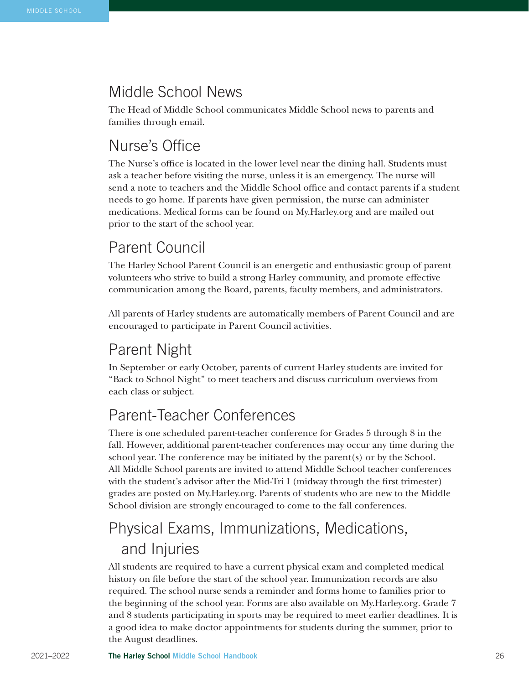# Middle School News

The Head of Middle School communicates Middle School news to parents and families through email.

# Nurse's Office

The Nurse's office is located in the lower level near the dining hall. Students must ask a teacher before visiting the nurse, unless it is an emergency. The nurse will send a note to teachers and the Middle School office and contact parents if a student needs to go home. If parents have given permission, the nurse can administer medications. Medical forms can be found on My.Harley.org and are mailed out prior to the start of the school year.

# Parent Council

The Harley School Parent Council is an energetic and enthusiastic group of parent volunteers who strive to build a strong Harley community, and promote effective communication among the Board, parents, faculty members, and administrators.

All parents of Harley students are automatically members of Parent Council and are encouraged to participate in Parent Council activities.

# Parent Night

In September or early October, parents of current Harley students are invited for "Back to School Night" to meet teachers and discuss curriculum overviews from each class or subject.

# Parent-Teacher Conferences

There is one scheduled parent-teacher conference for Grades 5 through 8 in the fall. However, additional parent-teacher conferences may occur any time during the school year. The conference may be initiated by the parent(s) or by the School. All Middle School parents are invited to attend Middle School teacher conferences with the student's advisor after the Mid-Tri I (midway through the first trimester) grades are posted on My.Harley.org. Parents of students who are new to the Middle School division are strongly encouraged to come to the fall conferences.

# Physical Exams, Immunizations, Medications, and Injuries

All students are required to have a current physical exam and completed medical history on file before the start of the school year. Immunization records are also required. The school nurse sends a reminder and forms home to families prior to the beginning of the school year. Forms are also available on My.Harley.org. Grade 7 and 8 students participating in sports may be required to meet earlier deadlines. It is a good idea to make doctor appointments for students during the summer, prior to the August deadlines.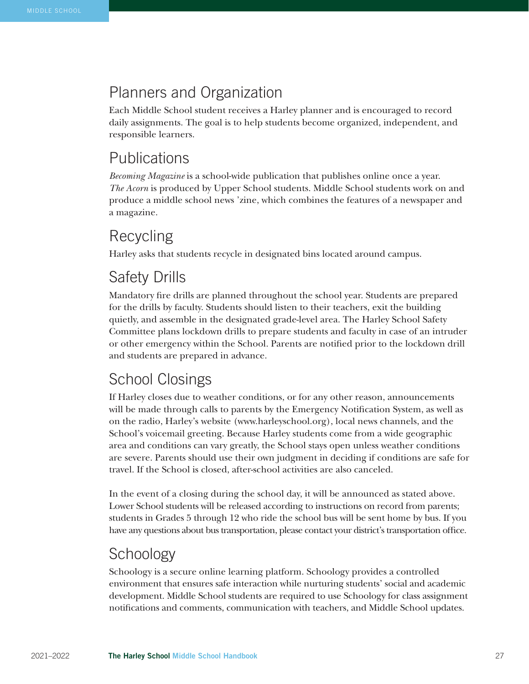# Planners and Organization

Each Middle School student receives a Harley planner and is encouraged to record daily assignments. The goal is to help students become organized, independent, and responsible learners.

## Publications

*Becoming Magazine* is a school-wide publication that publishes online once a year. *The Acorn* is produced by Upper School students. Middle School students work on and produce a middle school news 'zine, which combines the features of a newspaper and a magazine.

# Recycling

Harley asks that students recycle in designated bins located around campus.

# Safety Drills

Mandatory fire drills are planned throughout the school year. Students are prepared for the drills by faculty. Students should listen to their teachers, exit the building quietly, and assemble in the designated grade-level area. The Harley School Safety Committee plans lockdown drills to prepare students and faculty in case of an intruder or other emergency within the School. Parents are notified prior to the lockdown drill and students are prepared in advance.

# School Closings

If Harley closes due to weather conditions, or for any other reason, announcements will be made through calls to parents by the Emergency Notification System, as well as on the radio, Harley's website (www.harleyschool.org), local news channels, and the School's voicemail greeting. Because Harley students come from a wide geographic area and conditions can vary greatly, the School stays open unless weather conditions are severe. Parents should use their own judgment in deciding if conditions are safe for travel. If the School is closed, after-school activities are also canceled.

In the event of a closing during the school day, it will be announced as stated above. Lower School students will be released according to instructions on record from parents; students in Grades 5 through 12 who ride the school bus will be sent home by bus. If you have any questions about bus transportation, please contact your district's transportation office.

# **Schoology**

Schoology is a secure online learning platform. Schoology provides a controlled environment that ensures safe interaction while nurturing students' social and academic development. Middle School students are required to use Schoology for class assignment notifications and comments, communication with teachers, and Middle School updates.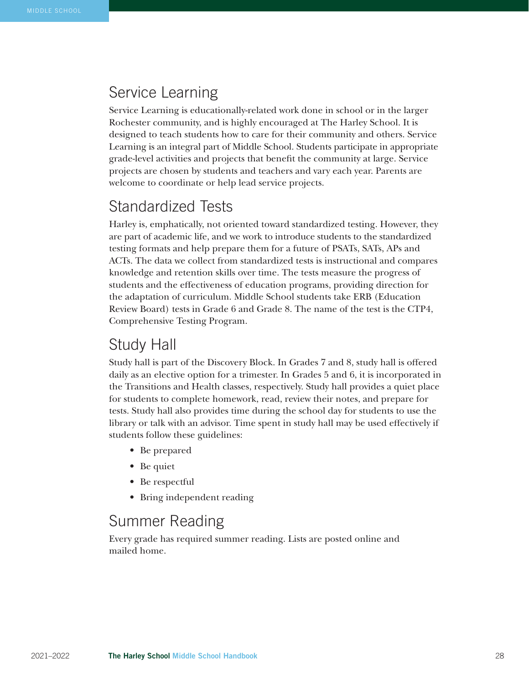### Service Learning

Service Learning is educationally-related work done in school or in the larger Rochester community, and is highly encouraged at The Harley School. It is designed to teach students how to care for their community and others. Service Learning is an integral part of Middle School. Students participate in appropriate grade-level activities and projects that benefit the community at large. Service projects are chosen by students and teachers and vary each year. Parents are welcome to coordinate or help lead service projects.

# Standardized Tests

Harley is, emphatically, not oriented toward standardized testing. However, they are part of academic life, and we work to introduce students to the standardized testing formats and help prepare them for a future of PSATs, SATs, APs and ACTs. The data we collect from standardized tests is instructional and compares knowledge and retention skills over time. The tests measure the progress of students and the effectiveness of education programs, providing direction for the adaptation of curriculum. Middle School students take ERB (Education Review Board) tests in Grade 6 and Grade 8. The name of the test is the CTP4, Comprehensive Testing Program.

### Study Hall

Study hall is part of the Discovery Block. In Grades 7 and 8, study hall is offered daily as an elective option for a trimester. In Grades 5 and 6, it is incorporated in the Transitions and Health classes, respectively. Study hall provides a quiet place for students to complete homework, read, review their notes, and prepare for tests. Study hall also provides time during the school day for students to use the library or talk with an advisor. Time spent in study hall may be used effectively if students follow these guidelines:

- Be prepared
- Be quiet
- Be respectful
- Bring independent reading

# Summer Reading

Every grade has required summer reading. Lists are posted online and mailed home.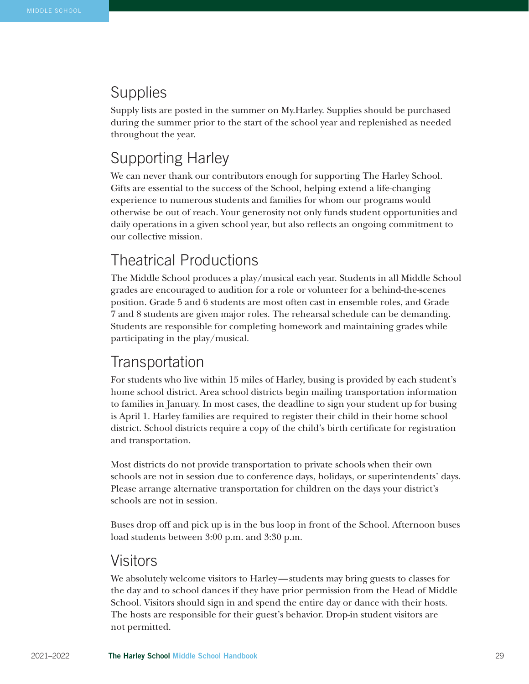# **Supplies**

Supply lists are posted in the summer on My.Harley. Supplies should be purchased during the summer prior to the start of the school year and replenished as needed throughout the year.

# Supporting Harley

We can never thank our contributors enough for supporting The Harley School. Gifts are essential to the success of the School, helping extend a life-changing experience to numerous students and families for whom our programs would otherwise be out of reach. Your generosity not only funds student opportunities and daily operations in a given school year, but also reflects an ongoing commitment to our collective mission.

# Theatrical Productions

The Middle School produces a play/musical each year. Students in all Middle School grades are encouraged to audition for a role or volunteer for a behind-the-scenes position. Grade 5 and 6 students are most often cast in ensemble roles, and Grade 7 and 8 students are given major roles. The rehearsal schedule can be demanding. Students are responsible for completing homework and maintaining grades while participating in the play/musical.

# **Transportation**

For students who live within 15 miles of Harley, busing is provided by each student's home school district. Area school districts begin mailing transportation information to families in January. In most cases, the deadline to sign your student up for busing is April 1. Harley families are required to register their child in their home school district. School districts require a copy of the child's birth certificate for registration and transportation.

Most districts do not provide transportation to private schools when their own schools are not in session due to conference days, holidays, or superintendents' days. Please arrange alternative transportation for children on the days your district's schools are not in session.

Buses drop off and pick up is in the bus loop in front of the School. Afternoon buses load students between 3:00 p.m. and 3:30 p.m.

## Visitors

We absolutely welcome visitors to Harley—students may bring guests to classes for the day and to school dances if they have prior permission from the Head of Middle School. Visitors should sign in and spend the entire day or dance with their hosts. The hosts are responsible for their guest's behavior. Drop-in student visitors are not permitted.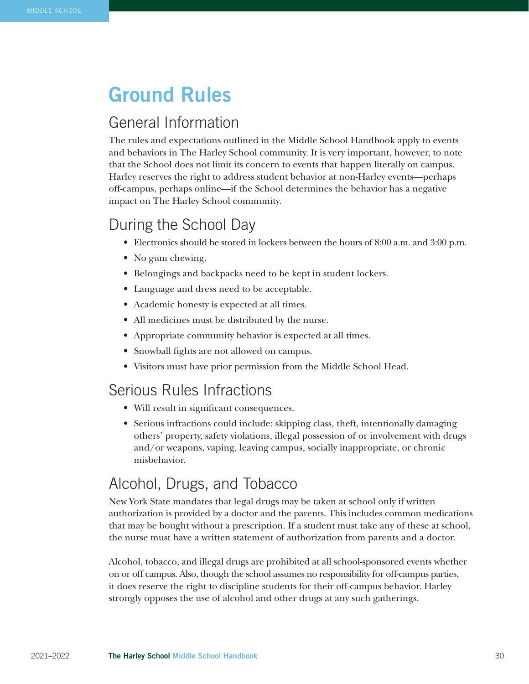# Ground Rules

## General Information

The rules and expectations outlined in the Middle School Handbook apply to events and behaviors in The Harley School community. It is very important, however, to note that the School does not limit its concern to events that happen literally on campus. Harley reserves the right to address student behavior at non-Harley events—perhaps off-campus, perhaps online—if the School determines the behavior has a negative impact on The Harley School community.

# During the School Day

- Electronics should be stored in lockers between the hours of 8:00 a.m. and 3:00 p.m.
- No gum chewing.
- Belongings and backpacks need to be kept in student lockers.
- Language and dress need to be acceptable.
- Academic honesty is expected at all times.
- All medicines must be distributed by the nurse.
- Appropriate community behavior is expected at all times.
- Snowball fights are not allowed on campus.
- Visitors must have prior permission from the Middle School Head.

### Serious Rules Infractions

- Will result in significant consequences.
- Serious infractions could include: skipping class, theft, intentionally damaging others' property, safety violations, illegal possession of or involvement with drugs and/or weapons, vaping, leaving campus, socially inappropriate, or chronic misbehavior.

## Alcohol, Drugs, and Tobacco

New York State mandates that legal drugs may be taken at school only if written authorization is provided by a doctor and the parents. This includes common medications that may be bought without a prescription. If a student must take any of these at school, the nurse must have a written statement of authorization from parents and a doctor.

Alcohol, tobacco, and illegal drugs are prohibited at all school-sponsored events whether on or off campus. Also, though the school assumes no responsibility for off-campus parties, it does reserve the right to discipline students for their off-campus behavior. Harley strongly opposes the use of alcohol and other drugs at any such gatherings.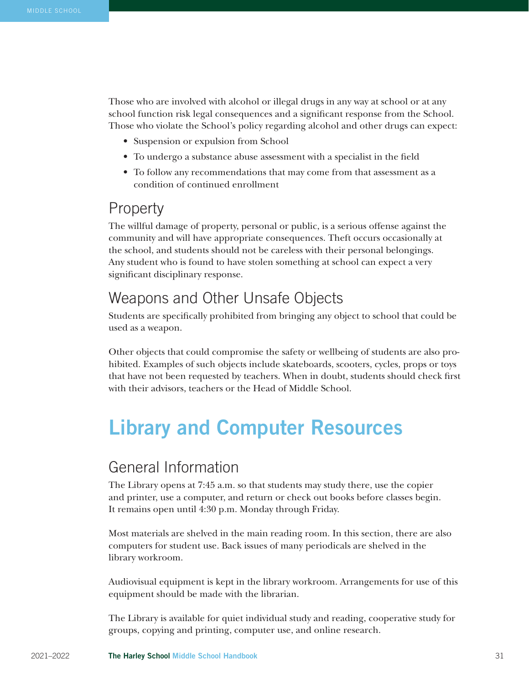Those who are involved with alcohol or illegal drugs in any way at school or at any school function risk legal consequences and a significant response from the School. Those who violate the School's policy regarding alcohol and other drugs can expect:

- Suspension or expulsion from School
- To undergo a substance abuse assessment with a specialist in the field
- To follow any recommendations that may come from that assessment as a condition of continued enrollment

#### **Property**

The willful damage of property, personal or public, is a serious offense against the community and will have appropriate consequences. Theft occurs occasionally at the school, and students should not be careless with their personal belongings. Any student who is found to have stolen something at school can expect a very significant disciplinary response.

### Weapons and Other Unsafe Objects

Students are specifically prohibited from bringing any object to school that could be used as a weapon.

Other objects that could compromise the safety or wellbeing of students are also prohibited. Examples of such objects include skateboards, scooters, cycles, props or toys that have not been requested by teachers. When in doubt, students should check first with their advisors, teachers or the Head of Middle School.

# Library and Computer Resources

### General Information

The Library opens at 7:45 a.m. so that students may study there, use the copier and printer, use a computer, and return or check out books before classes begin. It remains open until 4:30 p.m. Monday through Friday.

Most materials are shelved in the main reading room. In this section, there are also computers for student use. Back issues of many periodicals are shelved in the library workroom.

Audiovisual equipment is kept in the library workroom. Arrangements for use of this equipment should be made with the librarian.

The Library is available for quiet individual study and reading, cooperative study for groups, copying and printing, computer use, and online research.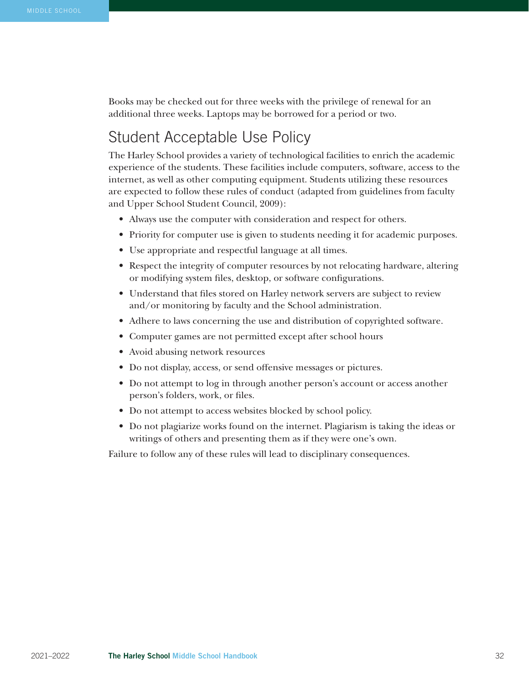Books may be checked out for three weeks with the privilege of renewal for an additional three weeks. Laptops may be borrowed for a period or two.

### Student Acceptable Use Policy

The Harley School provides a variety of technological facilities to enrich the academic experience of the students. These facilities include computers, software, access to the internet, as well as other computing equipment. Students utilizing these resources are expected to follow these rules of conduct (adapted from guidelines from faculty and Upper School Student Council, 2009):

- Always use the computer with consideration and respect for others.
- Priority for computer use is given to students needing it for academic purposes.
- Use appropriate and respectful language at all times.
- Respect the integrity of computer resources by not relocating hardware, altering or modifying system files, desktop, or software configurations.
- Understand that files stored on Harley network servers are subject to review and/or monitoring by faculty and the School administration.
- Adhere to laws concerning the use and distribution of copyrighted software.
- Computer games are not permitted except after school hours
- Avoid abusing network resources
- Do not display, access, or send offensive messages or pictures.
- Do not attempt to log in through another person's account or access another person's folders, work, or files.
- Do not attempt to access websites blocked by school policy.
- Do not plagiarize works found on the internet. Plagiarism is taking the ideas or writings of others and presenting them as if they were one's own.

Failure to follow any of these rules will lead to disciplinary consequences.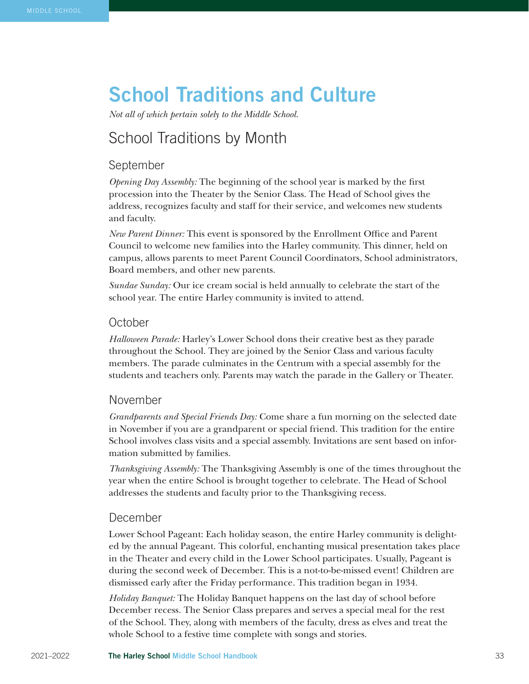# School Traditions and Culture

*Not all of which pertain solely to the Middle School.* 

# School Traditions by Month

#### September

*Opening Day Assembly:* The beginning of the school year is marked by the first procession into the Theater by the Senior Class. The Head of School gives the address, recognizes faculty and staff for their service, and welcomes new students and faculty.

*New Parent Dinner:* This event is sponsored by the Enrollment Office and Parent Council to welcome new families into the Harley community. This dinner, held on campus, allows parents to meet Parent Council Coordinators, School administrators, Board members, and other new parents.

*Sundae Sunday:* Our ice cream social is held annually to celebrate the start of the school year. The entire Harley community is invited to attend.

#### **October**

*Halloween Parade:* Harley's Lower School dons their creative best as they parade throughout the School. They are joined by the Senior Class and various faculty members. The parade culminates in the Centrum with a special assembly for the students and teachers only. Parents may watch the parade in the Gallery or Theater.

#### November

*Grandparents and Special Friends Day:* Come share a fun morning on the selected date in November if you are a grandparent or special friend. This tradition for the entire School involves class visits and a special assembly. Invitations are sent based on information submitted by families.

*Thanksgiving Assembly:* The Thanksgiving Assembly is one of the times throughout the year when the entire School is brought together to celebrate. The Head of School addresses the students and faculty prior to the Thanksgiving recess.

#### December

Lower School Pageant: Each holiday season, the entire Harley community is delighted by the annual Pageant. This colorful, enchanting musical presentation takes place in the Theater and every child in the Lower School participates. Usually, Pageant is during the second week of December. This is a not-to-be-missed event! Children are dismissed early after the Friday performance. This tradition began in 1934.

*Holiday Banquet:* The Holiday Banquet happens on the last day of school before December recess. The Senior Class prepares and serves a special meal for the rest of the School. They, along with members of the faculty, dress as elves and treat the whole School to a festive time complete with songs and stories.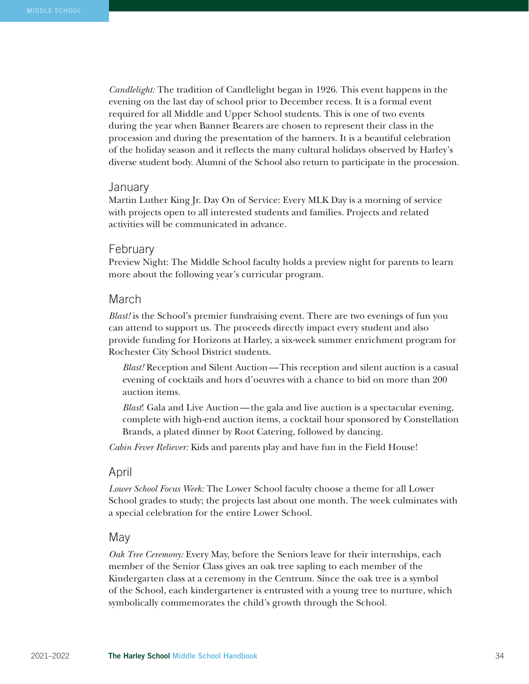*Candlelight:* The tradition of Candlelight began in 1926. This event happens in the evening on the last day of school prior to December recess. It is a formal event required for all Middle and Upper School students. This is one of two events during the year when Banner Bearers are chosen to represent their class in the procession and during the presentation of the banners. It is a beautiful celebration of the holiday season and it reflects the many cultural holidays observed by Harley's diverse student body. Alumni of the School also return to participate in the procession.

#### January

Martin Luther King Jr. Day On of Service: Every MLK Day is a morning of service with projects open to all interested students and families. Projects and related activities will be communicated in advance.

#### February

Preview Night: The Middle School faculty holds a preview night for parents to learn more about the following year's curricular program.

#### March

*Blast!* is the School's premier fundraising event. There are two evenings of fun you can attend to support us. The proceeds directly impact every student and also provide funding for Horizons at Harley, a six-week summer enrichment program for Rochester City School District students.

*Blast!* Reception and Silent Auction—This reception and silent auction is a casual evening of cocktails and hors d'oeuvres with a chance to bid on more than 200 auction items.

*Blast*! Gala and Live Auction—the gala and live auction is a spectacular evening, complete with high-end auction items, a cocktail hour sponsored by Constellation Brands, a plated dinner by Root Catering, followed by dancing.

*Cabin Fever Reliever:* Kids and parents play and have fun in the Field House!

#### April

*Lower School Focus Week:* The Lower School faculty choose a theme for all Lower School grades to study; the projects last about one month. The week culminates with a special celebration for the entire Lower School.

#### May

*Oak Tree Ceremony:* Every May, before the Seniors leave for their internships, each member of the Senior Class gives an oak tree sapling to each member of the Kindergarten class at a ceremony in the Centrum. Since the oak tree is a symbol of the School, each kindergartener is entrusted with a young tree to nurture, which symbolically commemorates the child's growth through the School.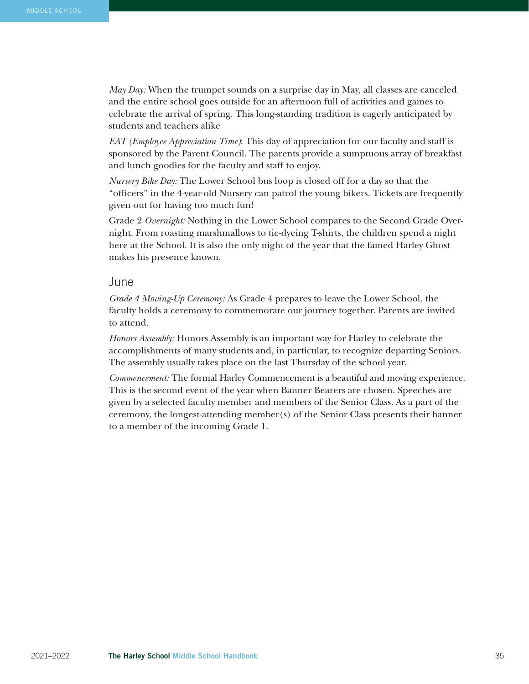*May Day:* When the trumpet sounds on a surprise day in May, all classes are canceled and the entire school goes outside for an afternoon full of activities and games to celebrate the arrival of spring. This long-standing tradition is eagerly anticipated by students and teachers alike

*EAT (Employee Appreciation Time)*: This day of appreciation for our faculty and staff is sponsored by the Parent Council. The parents provide a sumptuous array of breakfast and lunch goodies for the faculty and staff to enjoy.

*Nursery Bike Day:* The Lower School bus loop is closed off for a day so that the "officers" in the 4-year-old Nursery can patrol the young bikers. Tickets are frequently given out for having too much fun!

Grade 2 *Overnight:* Nothing in the Lower School compares to the Second Grade Overnight. From roasting marshmallows to tie-dyeing T-shirts, the children spend a night here at the School. It is also the only night of the year that the famed Harley Ghost makes his presence known.

#### June

*Grade 4 Moving-Up Ceremony:* As Grade 4 prepares to leave the Lower School, the faculty holds a ceremony to commemorate our journey together. Parents are invited to attend.

*Honors Assembly:* Honors Assembly is an important way for Harley to celebrate the accomplishments of many students and, in particular, to recognize departing Seniors. The assembly usually takes place on the last Thursday of the school year.

*Commencement:* The formal Harley Commencement is a beautiful and moving experience. This is the second event of the year when Banner Bearers are chosen. Speeches are given by a selected faculty member and members of the Senior Class. As a part of the ceremony, the longest-attending member(s) of the Senior Class presents their banner to a member of the incoming Grade 1.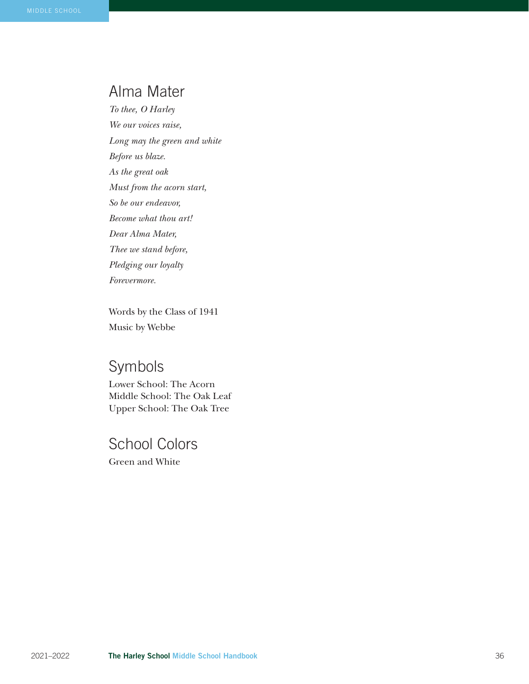### Alma Mater

*To thee, O Harley We our voices raise, Long may the green and white Before us blaze. As the great oak Must from the acorn start, So be our endeavor, Become what thou art! Dear Alma Mater, Thee we stand before, Pledging our loyalty Forevermore.*

Words by the Class of 1941 Music by Webbe

# Symbols

Lower School: The Acorn Middle School: The Oak Leaf Upper School: The Oak Tree

# School Colors

Green and White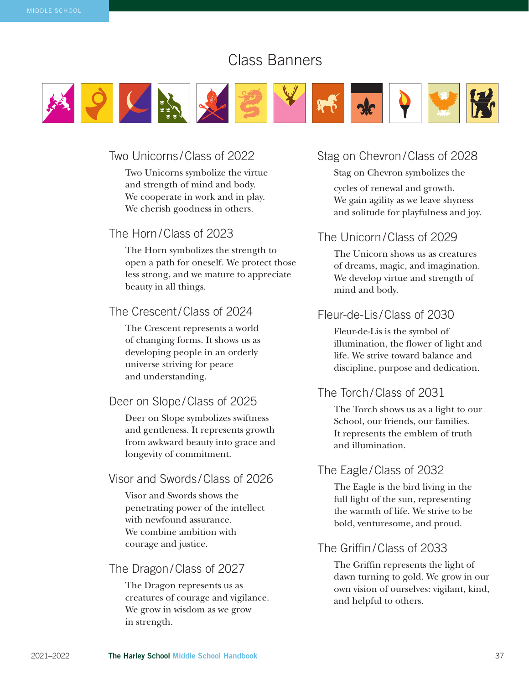# Class Banners



#### Two Unicorns /Class of 2022

Two Unicorns symbolize the virtue and strength of mind and body. We cooperate in work and in play. We cherish goodness in others.

#### The Horn/Class of 2023

The Horn symbolizes the strength to open a path for oneself. We protect those less strong, and we mature to appreciate beauty in all things.

#### The Crescent/Class of 2024

The Crescent represents a world of changing forms. It shows us as developing people in an orderly universe striving for peace and understanding.

#### Deer on Slope /Class of 2025

Deer on Slope symbolizes swiftness and gentleness. It represents growth from awkward beauty into grace and longevity of commitment.

#### Visor and Swords /Class of 2026

Visor and Swords shows the penetrating power of the intellect with newfound assurance. We combine ambition with courage and justice.

#### The Dragon/Class of 2027

The Dragon represents us as creatures of courage and vigilance. We grow in wisdom as we grow in strength.

#### Stag on Chevron/Class of 2028

Stag on Chevron symbolizes the cycles of renewal and growth. We gain agility as we leave shyness and solitude for playfulness and joy.

#### The Unicorn/Class of 2029

The Unicorn shows us as creatures of dreams, magic, and imagination. We develop virtue and strength of mind and body.

#### Fleur-de-Lis /Class of 2030

Fleur-de-Lis is the symbol of illumination, the flower of light and life. We strive toward balance and discipline, purpose and dedication.

#### The Torch/Class of 2031

The Torch shows us as a light to our School, our friends, our families. It represents the emblem of truth and illumination.

#### The Eagle /Class of 2032

The Eagle is the bird living in the full light of the sun, representing the warmth of life. We strive to be bold, venturesome, and proud.

#### The Griffin/Class of 2033

The Griffin represents the light of dawn turning to gold. We grow in our own vision of ourselves: vigilant, kind, and helpful to others.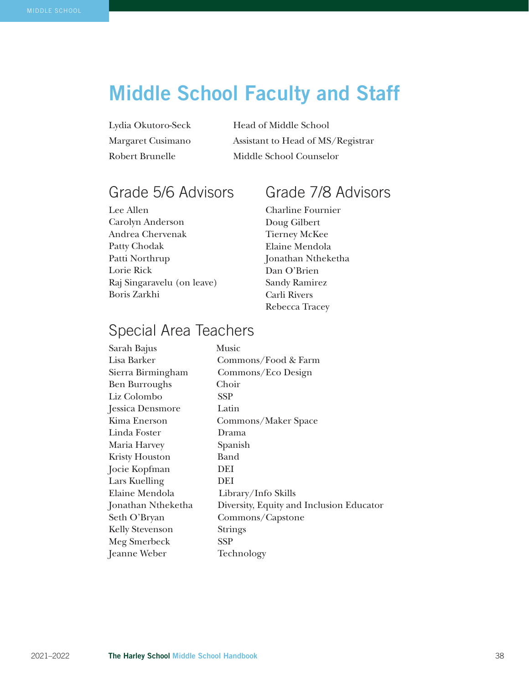# Middle School Faculty and Staff

Lydia Okutoro-Seck Head of Middle School Margaret Cusimano Assistant to Head of MS/Registrar Robert Brunelle Middle School Counselor

# Grade 5/6 Advisors

Lee Allen Carolyn Anderson Andrea Chervenak Patty Chodak Patti Northrup Lorie Rick Raj Singaravelu (on leave) Boris Zarkhi

# Grade 7/8 Advisors

Charline Fournier Doug Gilbert Tierney McKee Elaine Mendola Jonathan Ntheketha Dan O'Brien Sandy Ramirez Carli Rivers Rebecca Tracey

# Special Area Teachers

| Sarah Bajus            | Music                                    |
|------------------------|------------------------------------------|
| Lisa Barker            | Commons/Food & Farm                      |
| Sierra Birmingham      | Commons/Eco Design                       |
| <b>Ben Burroughs</b>   | Choir                                    |
| Liz Colombo            | <b>SSP</b>                               |
| Jessica Densmore       | Latin                                    |
| Kima Enerson           | Commons/Maker Space                      |
| Linda Foster           | Drama                                    |
| Maria Harvey           | Spanish                                  |
| <b>Kristy Houston</b>  | Band                                     |
| Jocie Kopfman          | DEI                                      |
| Lars Kuelling          | DEI                                      |
| Elaine Mendola         | Library/Info Skills                      |
| Jonathan Ntheketha     | Diversity, Equity and Inclusion Educator |
| Seth O'Bryan           | Commons/Capstone                         |
| <b>Kelly Stevenson</b> | <b>Strings</b>                           |
| Meg Smerbeck           | <b>SSP</b>                               |
| Jeanne Weber           | Technology                               |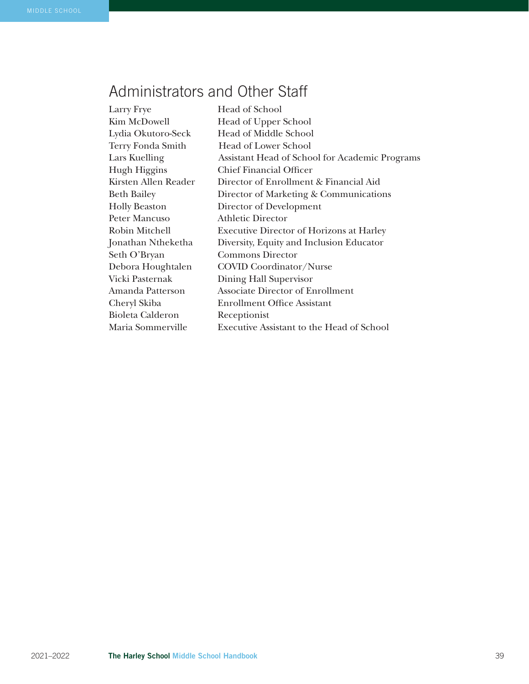# Administrators and Other Staff

| Larry Frye           | Head of School                                   |
|----------------------|--------------------------------------------------|
| Kim McDowell         | Head of Upper School                             |
| Lydia Okutoro-Seck   | <b>Head of Middle School</b>                     |
| Terry Fonda Smith    | <b>Head of Lower School</b>                      |
| Lars Kuelling        | Assistant Head of School for Academic Programs   |
| Hugh Higgins         | <b>Chief Financial Officer</b>                   |
| Kirsten Allen Reader | Director of Enrollment & Financial Aid           |
| Beth Bailey          | Director of Marketing & Communications           |
| Holly Beaston        | Director of Development                          |
| Peter Mancuso        | <b>Athletic Director</b>                         |
| Robin Mitchell       | <b>Executive Director of Horizons at Harley</b>  |
| Jonathan Ntheketha   | Diversity, Equity and Inclusion Educator         |
| Seth O'Bryan         | <b>Commons Director</b>                          |
| Debora Houghtalen    | <b>COVID Coordinator/Nurse</b>                   |
| Vicki Pasternak      | Dining Hall Supervisor                           |
| Amanda Patterson     | Associate Director of Enrollment                 |
| Cheryl Skiba         | <b>Enrollment Office Assistant</b>               |
| Bioleta Calderon     | Receptionist                                     |
| Maria Sommerville    | <b>Executive Assistant to the Head of School</b> |
|                      |                                                  |